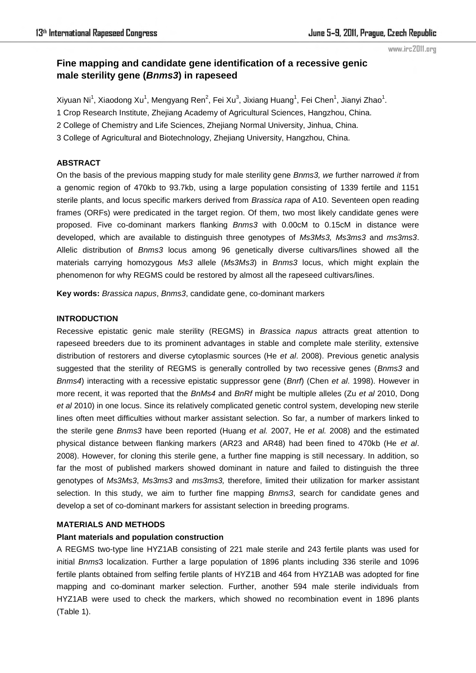#### www.irc2011.org

# **Fine mapping and candidate gene identification of a recessive genic male sterility gene (***Bnms3***) in rapeseed**

Xiyuan Ni $^1$ , Xiaodong Xu $^1$ , Mengyang Ren $^2$ , Fei Xu $^3$ , Jixiang Huang $^1$ , Fei Chen $^1$ , Jianyi Zhao $^1$ .

1 Crop Research Institute, Zhejiang Academy of Agricultural Sciences, Hangzhou, China.

2 College of Chemistry and Life Sciences, Zhejiang Normal University, Jinhua, China.

3 College of Agricultural and Biotechnology, Zhejiang University, Hangzhou, China.

# **ABSTRACT**

On the basis of the previous mapping study for male sterility gene *Bnms3, we* further narrowed *it* from a genomic region of 470kb to 93.7kb, using a large population consisting of 1339 fertile and 1151 sterile plants, and locus specific markers derived from *Brassica rapa* of A10. Seventeen open reading frames (ORFs) were predicated in the target region. Of them, two most likely candidate genes were proposed. Five co-dominant markers flanking *Bnms3* with 0.00cM to 0.15cM in distance were developed, which are available to distinguish three genotypes of *Ms3Ms3, Ms3ms3* and *ms3ms3*. Allelic distribution of *Bnms3* locus among 96 genetically diverse cultivars/lines showed all the materials carrying homozygous *Ms3* allele (*Ms3Ms3*) in *Bnms3* locus, which might explain the phenomenon for why REGMS could be restored by almost all the rapeseed cultivars/lines.

**Key words:** *Brassica napus*, *Bnms3*, candidate gene, co-dominant markers

#### **INTRODUCTION**

Recessive epistatic genic male sterility (REGMS) in *Brassica napus* attracts great attention to rapeseed breeders due to its prominent advantages in stable and complete male sterility, extensive distribution of restorers and diverse cytoplasmic sources (He *et al*. 2008). Previous genetic analysis suggested that the sterility of REGMS is generally controlled by two recessive genes (*Bnms3* and *Bnms4*) interacting with a recessive epistatic suppressor gene (*Bnrf*) (Chen *et al*. 1998). However in more recent, it was reported that the *BnMs4* and *BnRf* might be multiple alleles (Zu *et al* 2010, Dong *et al* 2010) in one locus. Since its relatively complicated genetic control system, developing new sterile lines often meet difficulties without marker assistant selection. So far, a number of markers linked to the sterile gene *Bnms3* have been reported (Huang *et al.* 2007, He *et al.* 2008) and the estimated physical distance between flanking markers (AR23 and AR48) had been fined to 470kb (He *et al*. 2008). However, for cloning this sterile gene, a further fine mapping is still necessary. In addition, so far the most of published markers showed dominant in nature and failed to distinguish the three genotypes of *Ms3Ms3*, *Ms3ms3* and *ms3ms3,* therefore, limited their utilization for marker assistant selection. In this study, we aim to further fine mapping *Bnms3*, search for candidate genes and develop a set of co-dominant markers for assistant selection in breeding programs.

## **MATERIALS AND METHODS**

# **Plant materials and population construction**

A REGMS two-type line HYZ1AB consisting of 221 male sterile and 243 fertile plants was used for initial *Bnms*3 localization. Further a large population of 1896 plants including 336 sterile and 1096 fertile plants obtained from selfing fertile plants of HYZ1B and 464 from HYZ1AB was adopted for fine mapping and co-dominant marker selection. Further, another 594 male sterile individuals from HYZ1AB were used to check the markers, which showed no recombination event in 1896 plants (Table 1).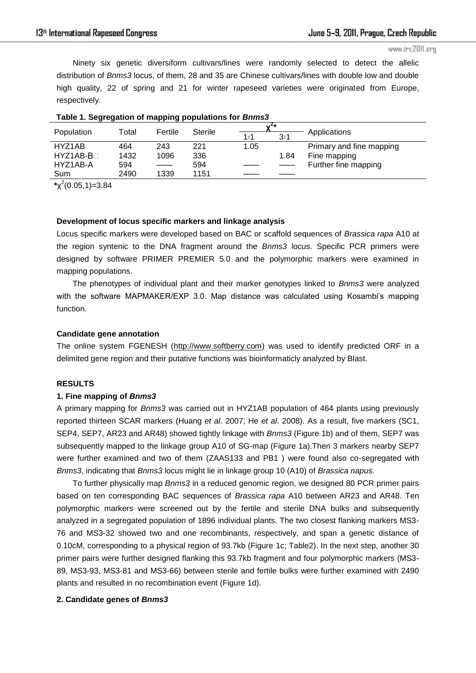www.irc2011.org

Ninety six genetic diversiform cultivars/lines were randomly selected to detect the allelic distribution of *Bnms3* locus, of them, 28 and 35 are Chinese cultivars/lines with double low and double high quality, 22 of spring and 21 for winter rapeseed varieties were originated from Europe, respectively.

| - -         |       | . .                                |                |      |      |                          |
|-------------|-------|------------------------------------|----------------|------|------|--------------------------|
|             | Total | Fertile                            | <b>Sterile</b> |      |      |                          |
| Population  |       |                                    |                | 1:1  | 3:1  | Applications             |
| HYZ1AB      | 464   | 243                                | 221            | 1.05 |      | Primary and fine mapping |
| $HYZ1AB-B1$ | 1432  | 1096                               | 336            |      | 1.84 | Fine mapping             |
| HYZ1AB-A    | 594   | $\sim$ $\sim$ $\sim$ $\sim$ $\sim$ | 594            |      |      | Further fine mapping     |
| Sum         | 2490  | 1339                               | 1151           |      |      |                          |
|             |       |                                    |                |      |      |                          |

## **Table 1. Segregation of mapping populations for** *Bnms3*

**\***χ 2 (0.05,1)=3.84

#### **Development of locus specific markers and linkage analysis**

Locus specific markers were developed based on BAC or scaffold sequences of *Brassica rapa* A10 at the region syntenic to the DNA fragment around the *Bnms3* locus. Specific PCR primers were designed by software PRIMER PREMIER 5.0 and the polymorphic markers were examined in mapping populations.

The phenotypes of individual plant and their marker genotypes linked to *Bnms3* were analyzed with the software MAPMAKER/EXP 3.0. Map distance was calculated using Kosambi's mapping function.

## **Candidate gene annotation**

The online system FGENESH [\(http://www.softberry.com\)](http://www.softberry.com/) was used to identify predicted ORF in a delimited gene region and their putative functions was bioinformaticly analyzed by Blast.

# **RESULTS**

#### **1. Fine mapping of** *Bnms3*

A primary mapping for *Bnms3* was carried out in HYZ1AB population of 464 plants using previously reported thirteen SCAR markers (Huang *et al*. 2007; He *et al*. 2008). As a result, five markers (SC1, SEP4, SEP7, AR23 and AR48) showed tightly linkage with *Bnms3* (Figure 1b) and of them, SEP7 was subsequently mapped to the linkage group A10 of SG-map (Figure 1a).Then 3 markers nearby SEP7 were further examined and two of them (ZAAS133 and PB1 ) were found also co-segregated with *Bnms3*, indicating that *Bnms3* locus might lie in linkage group 10 (A10) of *Brassica napus.* 

To further physically map *Bnms3* in a reduced genomic region, we designed 80 PCR primer pairs based on ten corresponding BAC sequences of *Brassica rapa* A10 between AR23 and AR48. Ten polymorphic markers were screened out by the fertile and sterile DNA bulks and subsequently analyzed in a segregated population of 1896 individual plants. The two closest flanking markers MS3- 76 and MS3-32 showed two and one recombinants, respectively, and span a genetic distance of 0.10cM, corresponding to a physical region of 93.7kb (Figure 1c; Table2). In the next step, another 30 primer pairs were further designed flanking this 93.7kb fragment and four polymorphic markers (MS3- 89, MS3-93, MS3-81 and MS3-66) between sterile and fertile bulks were further examined with 2490 plants and resulted in no recombination event (Figure 1d).

## **2. Candidate genes of** *Bnms3*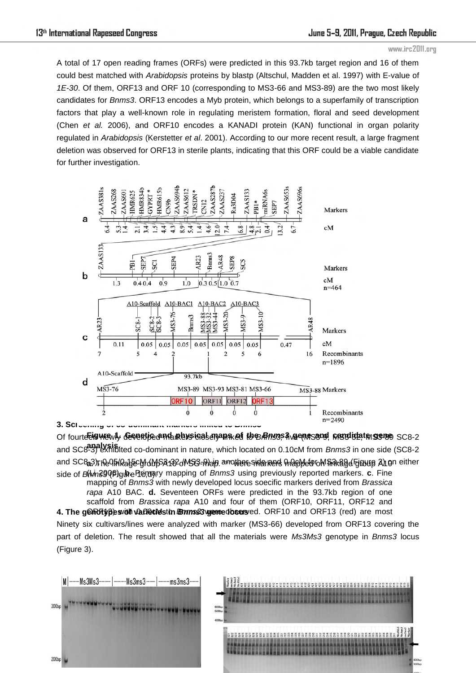A total of 17 open reading frames (ORFs) were predicted in this 93.7kb target region and 16 of them could best matched with *Arabidopsis* proteins by blastp (Altschul, Madden et al. 1997) with E-value of *1E-30*. Of them, ORF13 and ORF 10 (corresponding to MS3-66 and MS3-89) are the two most likely candidates for *Bnms3*. ORF13 encodes a Myb protein, which belongs to a superfamily of transcription factors that play a well-known role in regulating meristem formation, floral and seed development (Chen *et al.* 2006), and ORF10 encodes a KANADI protein (KAN) functional in organ polarity regulated in *Arabidopsis* (Kerstetter *et al*. 2001). According to our more recent result, a large fragment deletion was observed for ORF13 in sterile plants, indicating that this ORF could be a viable candidate for further investigation.



Of fourte**Eigwe**wly Geraftie and maps ig al anama en to B*Rns*3, Avenes and prodidate gene SC8-2 and SC8-3) exhibited co-dominant in nature, which located on 0.10cM from *Bnms3* in one side (SC8-2 **analysis.** and SC&3)**The linkage yrd MSA 132 dMS3-n) aip. arrothere sider rend map Mefor Miniakage (Fjgure A) on either** side of *Bl*im390 *Plgure Pronary mapping of <i>Bnms3* using previously reported markers. **c**. Fine **4. The genotypes of varients in** *Bnmss***3 were dosers** ed. ORF10 and ORF13 (red) are most mapping of *Bnms3* with newly developed locus soecific markers derived from *Brassica rapa* A10 BAC. **d.** Seventeen ORFs were predicted in the 93.7kb region of one scaffold from *Brassica rapa* A10 and four of them (ORF10, ORF11, ORF12 and

Ninety six cultivars/lines were analyzed with marker (MS3-66) developed from ORF13 covering the part of deletion. The result showed that all the materials were *Ms3Ms3* genotype in *Bnms3* locus (Figure 3).

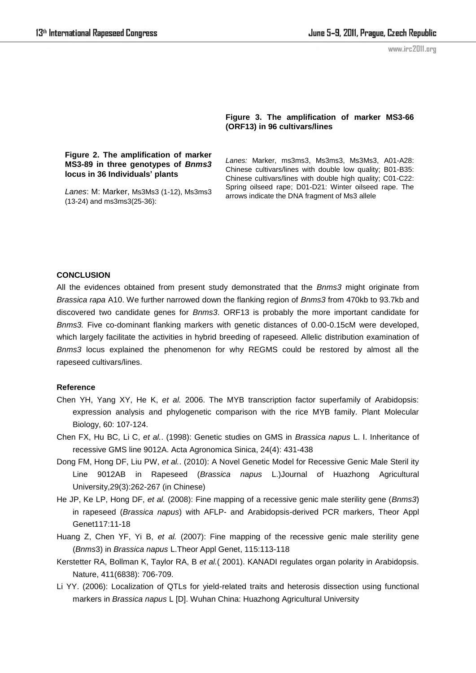# **Figure 3. The amplification of marker MS3-66 (ORF13) in 96 cultivars/lines**

# **Figure 2. The amplification of marker MS3-89 in three genotypes of** *Bnms3* **locus in 36 Individuals' plants**

*Lanes*: M: Marker, Ms3Ms3 (1-12), Ms3ms3 (13-24) and ms3ms3(25-36):

*Lanes:* Marker, ms3ms3, Ms3ms3, Ms3Ms3, A01-A28: Chinese cultivars/lines with double low quality; B01-B35: Chinese cultivars/lines with double high quality; C01-C22: Spring oilseed rape; D01-D21: Winter oilseed rape. The arrows indicate the DNA fragment of Ms3 allele

## **CONCLUSION**

All the evidences obtained from present study demonstrated that the *Bnms3* might originate from *Brassica rapa* A10. We further narrowed down the flanking region of *Bnms3* from 470kb to 93.7kb and discovered two candidate genes for *Bnms3*. ORF13 is probably the more important candidate for *Bnms3.* Five co-dominant flanking markers with genetic distances of 0.00-0.15cM were developed, which largely facilitate the activities in hybrid breeding of rapeseed. Allelic distribution examination of *Bnms3* locus explained the phenomenon for why REGMS could be restored by almost all the rapeseed cultivars/lines.

#### **Reference**

- Chen YH, Yang XY, He K, *et al.* 2006. The MYB transcription factor superfamily of Arabidopsis: expression analysis and phylogenetic comparison with the rice MYB family. Plant Molecular Biology, 60: 107-124.
- Chen FX, Hu BC, Li C, *et al.*. (1998): Genetic studies on GMS in *Brassica napus* L. I. Inheritance of recessive GMS line 9012A. Acta Agronomica Sinica, 24(4): 431-438
- Dong FM, Hong DF, Liu PW, *et al.*. (2010): A Novel Genetic Model for Recessive Genic Male Steril ity Line 9012AB in Rapeseed (*Brassica napus* L.)Journal of Huazhong Agricultural University,29(3):262-267 (in Chinese)
- He JP, Ke LP, Hong DF, *et al.* (2008): Fine mapping of a recessive genic male sterility gene (*Bnms3*) in rapeseed (*Brassica napus*) with AFLP- and Arabidopsis-derived PCR markers, Theor Appl Genet117:11-18
- Huang Z, Chen YF, Yi B, *et al.* (2007): Fine mapping of the recessive genic male sterility gene (*Bnms*3) in *Brassica napus* L.Theor Appl Genet, 115:113-118
- Kerstetter RA, Bollman K, Taylor RA, B *et al.*( 2001). KANADI regulates organ polarity in Arabidopsis. Nature, 411(6838): 706-709.
- Li YY. (2006): Localization of QTLs for yield-related traits and heterosis dissection using functional markers in *Brassica napus* L [D]. Wuhan China: Huazhong Agricultural University